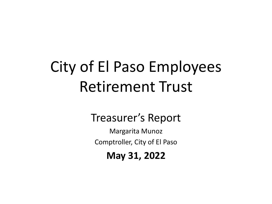# City of El Paso Employees Retirement Trust

# Treasurer's Report

Margarita Munoz Comptroller, City of El Paso

**May 31, 2022**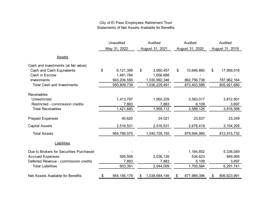#### City of El Paso Employees Retirement Trust Statements of Net Assets Available for Benefits

|                                         | Unaudited    |               |    | Audited         | Audited           | Audited |                 |  |  |  |
|-----------------------------------------|--------------|---------------|----|-----------------|-------------------|---------|-----------------|--|--|--|
|                                         | May 31, 2022 |               |    | August 31, 2021 | August 31, 2020   |         | August 31, 2019 |  |  |  |
| <b>Assets</b>                           |              |               |    |                 |                   |         |                 |  |  |  |
| Cash and Investments (at fair value):   |              |               |    |                 |                   |         |                 |  |  |  |
| Cash and Cash Equivalents               | \$           | 6,121,399     | \$ | 3,580,457       | \$<br>10,646,860  | \$      | 17,959,516      |  |  |  |
| Cash in Escrow                          |              | 1,481,784     |    | 1,656,688       |                   |         |                 |  |  |  |
| Investments                             |              | 943,206,556   |    | 1,030,992,346   | 862,756,738       |         | 787,962,164     |  |  |  |
| <b>Total Cash and Investments</b>       |              | 950,809,739   |    | 1,036,229,491   | 873,403,598       |         | 805,921,680     |  |  |  |
| Receivables                             |              |               |    |                 |                   |         |                 |  |  |  |
| Unrestricted                            |              | 1,413,797     |    | 1,950,229       | 3,583,017         |         | 3,812,901       |  |  |  |
| Restricted - commission credits         |              | 7,883         |    | 7,883           | 6,109             |         | 3,697           |  |  |  |
| <b>Total Receivables</b>                |              | 1,421,680     |    | 1,958,112       | 3,589,126         |         | 3,816,598       |  |  |  |
|                                         |              |               |    |                 |                   |         |                 |  |  |  |
| <b>Prepaid Expenses</b>                 |              | 40,620        |    | 24,021          | 23,837            |         | 23,249          |  |  |  |
| <b>Capital Assets</b>                   |              | 2,516,531     |    | 2,516,531       | 2,678,419         |         | 3, 154, 205     |  |  |  |
| <b>Total Assets</b>                     |              | 954,788,570   |    | 1,040,728,155   | 879,694,980       |         | 812,915,732     |  |  |  |
| Liabilities                             |              |               |    |                 |                   |         |                 |  |  |  |
| Due to Brokers for Securities Purchased |              |               |    |                 | 1,164,852         |         | 5,338,049       |  |  |  |
| <b>Accrued Expenses</b>                 |              | 595,508       |    | 2,036,126       | 534,623           |         | 949,995         |  |  |  |
| Deferred Revenue - commission credits   |              | 7,883         |    | 7,883           | 6,109             |         | 3,697           |  |  |  |
| <b>Total Liabilities</b>                |              | 603,391       |    | 2,044,009       | 1,705,584         |         | 6,291,741       |  |  |  |
| Net Assets Available for Benefits       | \$           | 954, 185, 179 | S  | 1,038,684,146   | \$<br>877,989,396 | \$      | 806,623,991     |  |  |  |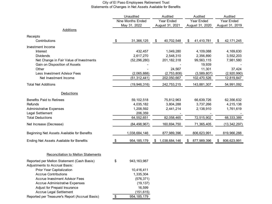#### City of El Paso Employees Retirement Trust Statements of Changes in Net Assets Available for Benefits

|                                                                             | Unaudited         |                |    | Audited         | Audited           | Audited    |                 |  |  |
|-----------------------------------------------------------------------------|-------------------|----------------|----|-----------------|-------------------|------------|-----------------|--|--|
|                                                                             | Nine Months Ended |                |    | Year Ended      | Year Ended        | Year Ended |                 |  |  |
|                                                                             |                   | May 31, 2022   |    | August 31, 2021 | August 31, 2020   |            | August 31, 2019 |  |  |
| <b>Additions</b>                                                            |                   |                |    |                 |                   |            |                 |  |  |
| Receipts                                                                    |                   |                |    |                 |                   |            |                 |  |  |
| Contributions                                                               | \$                | 31,366,125     | \$ | 40,702,548      | \$<br>41,410,781  | \$         | 42, 171, 245    |  |  |
| Investment Income                                                           |                   |                |    |                 |                   |            |                 |  |  |
| <b>Interest</b>                                                             |                   | 432,457        |    | 1,049,280       | 4,109,088         |            | 4,169,630       |  |  |
| Dividends                                                                   |                   | 2,617,270      |    | 2,548,310       | 2,356,890         |            | 3,552,203       |  |  |
| Net Change in Fair Value of Investments                                     |                   | (52, 296, 280) |    | 201, 182, 318   | 99,563,115        |            | 7,981,580       |  |  |
| Gain on Disposition of Assets                                               |                   |                |    |                 | 19,939            |            |                 |  |  |
| Other                                                                       |                   |                |    | 24,567          | 11,301            |            | 37,424          |  |  |
| Less Investment Advisor Fees                                                |                   | (2,065,888)    |    | (2,753,808)     | (3,589,807)       |            | (2,920,990)     |  |  |
| Net Investment Income                                                       |                   | (51, 312, 441) |    | 202,050,667     | 102,470,526       |            | 12,819,847      |  |  |
| <b>Total Net Additions</b>                                                  |                   | (19, 946, 316) |    | 242,753,215     | 143,881,307       |            | 54,991,092      |  |  |
| <b>Deductions</b>                                                           |                   |                |    |                 |                   |            |                 |  |  |
| <b>Benefits Paid to Retirees</b>                                            |                   | 59, 102, 518   |    | 75,812,963      | 66,639,726        |            | 62,356,632      |  |  |
| Refunds                                                                     |                   | 4,035,182      |    | 3,804,288       | 3,737,266         |            | 4,215,138       |  |  |
| <b>Administrative Expenses</b>                                              |                   | 1,208,592      |    | 2,441,214       | 2,138,910         |            | 1,761,619       |  |  |
| Legal Settlement                                                            |                   | 206,359        |    |                 |                   |            |                 |  |  |
| <b>Total Deductions</b>                                                     |                   | 64,552,651     |    | 82,058,465      | 72,515,902        |            | 68,333,389      |  |  |
|                                                                             |                   |                |    |                 |                   |            |                 |  |  |
| Net Increase (Decrease)                                                     |                   | (84, 498, 967) |    | 160,694,750     | 71,365,405        |            | (13, 342, 297)  |  |  |
| Beginning Net Assets Available for Benefits                                 |                   | 1,038,684,146  |    | 877,989,396     | 806,623,991       |            | 819,966,288     |  |  |
| Ending Net Assets Available for Benefits                                    | \$                | 954, 185, 179  | \$ | 1,038,684,146   | \$<br>877,989,396 | \$         | 806,623,991     |  |  |
|                                                                             |                   |                |    |                 |                   |            |                 |  |  |
| <b>Reconciliation to Mellon Statements</b>                                  |                   |                |    |                 |                   |            |                 |  |  |
| Reported per Mellon Statement (Cash Basis)<br>Adjustments to Accrual Basis: | \$                | 943, 163, 987  |    |                 |                   |            |                 |  |  |
| Prior Year Capitalization                                                   |                   | 10,416,411     |    |                 |                   |            |                 |  |  |
| <b>Accrue Contributions</b>                                                 |                   | 1,335,304      |    |                 |                   |            |                 |  |  |
| <b>Accrue Investment Advisor Fees</b>                                       |                   | (576, 371)     |    |                 |                   |            |                 |  |  |
| <b>Accrue Administrative Expenses</b>                                       |                   | (19, 137)      |    |                 |                   |            |                 |  |  |
| Adjust for Prepaid Insurance                                                |                   | 16,599         |    |                 |                   |            |                 |  |  |
| Accrue Legal Settlement                                                     |                   | (151, 615)     |    |                 |                   |            |                 |  |  |
| Reported per Treasurer's Report (Accrual Basis)                             | \$                | 954, 185, 179  |    |                 |                   |            |                 |  |  |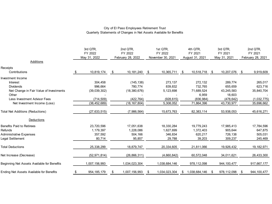#### City of El Paso Employees Retirement Trust Quarterly Statements of Changes in Net Assets Available for Benefits

|                                             | 3rd QTR,<br>FY 2022<br>May 31, 2022 |                | 2nd QTR,<br>FY 2022<br>February 28, 2022 |                |      | 1st QTR,<br>FY 2022<br>November 30, 2021 | 4th QTR.<br>FY 2021 |      | 3rd QTR,<br>FY 2021 |      | 2nd QTR,<br>FY 2021 |
|---------------------------------------------|-------------------------------------|----------------|------------------------------------------|----------------|------|------------------------------------------|---------------------|------|---------------------|------|---------------------|
| Additions                                   |                                     |                |                                          |                |      |                                          | August 31, 2021     |      | May 31, 2021        |      | February 28, 2021   |
| Receipts                                    |                                     |                |                                          |                |      |                                          |                     |      |                     |      |                     |
| Contributions                               | -\$                                 | 10,819,174     | \$                                       | 10,181,240     | - \$ | 10,365,711                               | \$<br>10,518,718    | - \$ | 10,207,076          | - \$ | 9,919,609           |
| <b>Investment Income</b>                    |                                     |                |                                          |                |      |                                          |                     |      |                     |      |                     |
| Interest                                    |                                     | 304,458        |                                          | (145, 138)     |      | 273,137                                  | 272,132             |      | 289,774             |      | 265,017             |
| <b>Dividends</b>                            |                                     | 996.664        |                                          | 780.774        |      | 839.832                                  | 732.765             |      | 655.659             |      | 623,716             |
| Net Change in Fair Value of Investments     |                                     | (39,039,302)   |                                          | (18, 380, 676) |      | 5,123,698                                | 71,689,524          |      | 43,245,583          |      | 35,840,704          |
| Other                                       |                                     |                |                                          |                |      |                                          | 6,959               |      | 18.603              |      |                     |
| Less Investment Advisor Fees                |                                     | (714, 509)     |                                          | (422, 764)     |      | (928, 615)                               | (836, 984)          |      | (478, 642)          |      | (1,032,775)         |
| Net Investment Income (Loss)                |                                     | (38, 452, 689) |                                          | (18, 167, 804) |      | 5,308,052                                | 71,864,396          |      | 43,730,977          |      | 35,696,662          |
| <b>Total Net Additions (Reductions)</b>     |                                     | (27, 633, 515) |                                          | (7,986,564)    |      | 15,673,763                               | 82,383,114          |      | 53,938,053          |      | 45,616,271          |
| <b>Deductions</b>                           |                                     |                |                                          |                |      |                                          |                     |      |                     |      |                     |
| <b>Benefits Paid to Retirees</b>            |                                     | 23,720,596     |                                          | 17,051,638     |      | 18,330,284                               | 19,779,243          |      | 17,985,413          |      | 17,784,596          |
| Refunds                                     |                                     | 1,179,397      |                                          | 1,228,086      |      | 1,627,699                                | 1,372,403           |      | 905,644             |      | 647,875             |
| Administrative Expenses                     |                                     | 357,592        |                                          | 504,166        |      | 346,834                                  | 620,217             |      | 726,138             |      | 505,031             |
| Legal Settlement                            |                                     | 80,714         |                                          | 95,857         |      | 29,788                                   | 39,203              |      | 309,237             |      | 245,469             |
| <b>Total Deductions</b>                     |                                     | 25,338,299     |                                          | 18,879,747     |      | 20,334,605                               | 21,811,066          |      | 19,926,432          |      | 19, 182, 971        |
| Net Increase (Decrease)                     |                                     | (52, 971, 814) |                                          | (26, 866, 311) |      | (4,660,842)                              | 60,572,048          |      | 34,011,621          |      | 26,433,300          |
| Beginning Net Assets Available for Benefits |                                     | 1,007,156,993  |                                          | 1,034,023,304  |      | 1,038,684,146                            | 978,112,098         |      | 944, 100, 477       |      | 917,667,177         |
| Ending Net Assets Available for Benefits    | \$                                  | 954, 185, 179  | S.                                       | 1,007,156,993  |      | 1,034,023,304                            | \$<br>1,038,684,146 | - \$ | 978,112,098         | S    | 944, 100, 477       |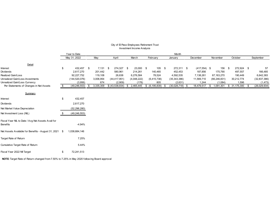|                                                                |    | Year to Date    |     |            |                 |                 |                  |      | Month             |                |                 |      |               |     |                |
|----------------------------------------------------------------|----|-----------------|-----|------------|-----------------|-----------------|------------------|------|-------------------|----------------|-----------------|------|---------------|-----|----------------|
|                                                                |    | May 31, 2022    |     | May        | April           | March           | February         |      | January           | December       | November        |      | October       |     | September      |
| Detail                                                         |    |                 |     |            |                 |                 |                  |      |                   |                |                 |      |               |     |                |
| Interest                                                       | \$ | 432,457 \$      |     | $7,131$ \$ | 274,327 \$      | 23,000 \$       | $105 - $$        |      | 272,311 \$        | $(417,554)$ \$ | 156             | - \$ | 272,924 \$    |     | 57             |
| <b>Dividends</b>                                               |    | 2,617,270       |     | 201,442    | 580,961         | 214,261         | 140,465          |      | 452,453           | 187,856        | 175,790         |      | 497,557       |     | 166,485        |
| <b>Realized Gain/Loss</b>                                      |    | 92,227,752      |     | 119,108    | 26,638          | 6,276,584       | 78,524           |      | 4,592,535         | 7,138,261      | 67,163,270      |      | 190,449       |     | 6,642,383      |
| Unrealized Gain/Loss-Investments                               |    | (144, 520, 076) |     | 3,006,954  | (44, 417, 951)  | (4,048,222)     | (6, 415, 738)    |      | (35, 343, 386)    | 11,569,710     | (66, 246, 831)  |      | 30,212,774    |     | (32, 837, 386) |
| Unrealized Gain/Loss Currency                                  |    | (3,956)         |     | 674        | (2,909)         | (178)           | 805              |      | (2,631)           | 1,244          | (1,084)         |      | 1,596         |     | (1, 473)       |
| Per Statements of Changes in Net Assets                        | S. | (49, 246, 553)  | -\$ | 3,335,309  | \$ (43,538,934) | \$<br>2,465,445 | \$ (6, 195, 839) | - \$ | $(30,028,718)$ \$ | 18,479,517     | \$<br>1,091,301 |      | \$ 31,175,300 | -\$ | (26,029,934)   |
| Summary                                                        |    |                 |     |            |                 |                 |                  |      |                   |                |                 |      |               |     |                |
| Interest                                                       | \$ | 432,457         |     |            |                 |                 |                  |      |                   |                |                 |      |               |     |                |
| Dividends                                                      |    | 2,617,270       |     |            |                 |                 |                  |      |                   |                |                 |      |               |     |                |
| Net Market Value Depreciation                                  |    | (52, 296, 280)  |     |            |                 |                 |                  |      |                   |                |                 |      |               |     |                |
| Net Investment Loss (NIL)                                      | S  | (49, 246, 553)  |     |            |                 |                 |                  |      |                   |                |                 |      |               |     |                |
| Fiscal Year NIL to Date / Avg Net Assets Avail for<br>Benefits |    | $-4.94%$        |     |            |                 |                 |                  |      |                   |                |                 |      |               |     |                |
| Net Assets Available for Benefits - August 31, 2021 \$         |    | 1,038,684,146   |     |            |                 |                 |                  |      |                   |                |                 |      |               |     |                |
| Target Rate of Return                                          |    | 7.25%           |     |            |                 |                 |                  |      |                   |                |                 |      |               |     |                |
| Cumulative Target Rate of Return                               |    | 5.44%           |     |            |                 |                 |                  |      |                   |                |                 |      |               |     |                |
| Fiscal Year 2022 NII Target                                    | \$ | 72,241,513      |     |            |                 |                 |                  |      |                   |                |                 |      |               |     |                |
|                                                                |    |                 |     |            |                 |                 |                  |      |                   |                |                 |      |               |     |                |

#### City of El Paso Employees Retirement Trust Investment Income Analysis

**NOTE:** Target Rate of Return changed from 7.50% to 7.25% in May 2020 follow ing Board approval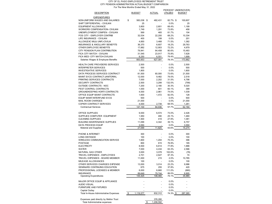#### CITY OF EL PASO EMPLOYEES RETIREMENT TRUST CITY PENSION ADMINISTRATION ACTUAL/BUDGET COMPARISON For The Nine Months Ended May 31, 2022

| <b>DESCRIPTION</b>                                            | <b>BUDGET</b>   | <b>ACTUAL</b>   | <b>UTILIZED</b>     | PERCENT UNDER(OVER)<br><b>BUDGET</b> |
|---------------------------------------------------------------|-----------------|-----------------|---------------------|--------------------------------------|
| <b>EXPENDITURES</b>                                           |                 |                 |                     |                                      |
| NON-UNIFORM WAGES AND SALARIES                                | \$<br>583,038   | \$<br>482,431   | 82.7% \$            | 100,607                              |
| SHIFT DIFFERENTIAL - CIVILIAN                                 | 25              |                 | 0.0%                | 25                                   |
| <b>EQUIPMENT ALLOWANCE</b>                                    | 3,800           | 2,601           | 68.4%               | 1,199                                |
| WORKERS COMPENSATION- CIVILIAN                                | 1,749           | 1,291           | 73.8%               | 458                                  |
| UNEMPLOYMENT COMPEN - CIVILIAN                                | 569             | 465             | 81.7%               | 104                                  |
| POS CITY - EMPLOYER CONTRIB                                   | 32.534          | 22,200          | 68.2%               | 10.334                               |
| LIFE INSURANCE - CIVILIAN                                     | 400             | 199             | 0.0%                | 201                                  |
| ALLOW(EXC MIL& UNIF)-CIVILIA                                  | 4,850           | 3,468           | 71.5%               | 1,382                                |
| <b>INSURANCE &amp; ANCILLARY BENEFITS</b>                     | 36,370          | 6,607           | 18.2%               | 29,763                               |
| OTHER EMPLOYEE BENEFITS                                       | 17,882          | 12,903          | 72.2%               | 4,979                                |
| CITY PENSION PLAN CONTRIBUTION                                | 79,941          | 64,458          | 80.6%               | 15,483                               |
| FICA CITY MATCH - CIVILIAN                                    | 31,545          | 23,917          | 75.8%               | 7,628                                |
| FICA MED- CITY MATCH-CIVILIAN                                 | 8,250           | 6,551           | 79.4%               | 1,699                                |
| Salaries Wages & Employee Benefits                            | 800,953         | 627,091         | 78.3%               | 173,862                              |
| HEALTH CARE PROVIDERS SERVICES                                | 2,500           |                 | 0.0%                | 2,500                                |
| <b>INTERPRETER SERVICES</b>                                   | 500             |                 | 0.0%                | 500                                  |
| <b>INVESTIGATIVE SERVICES</b>                                 | 1,800           |                 | 0.0%                | 1,800                                |
| DATA PROCESS SERVICES CONTRACT                                | 81,500          | 60,000          | 73.6%               | 21,500                               |
| MAINT SVCS CONTRACT-JANITORIAL                                | 12,000          | 9,482           | 79.0%               | 2,518                                |
| PRINTING SERVICES CONTRACTS                                   | 7,000           | 2,202           | 31.5%               | 4,798                                |
| SECURITY CONTRACTS                                            | 2,500           | 3,299           | 132.0%              | (799)                                |
| OUTSIDE CONTRACTS - NOC                                       | 7,200           | 2,180           | 30.3%               | 5,020                                |
| PEST CONTROL CONTRACTS                                        | 1,000           | 601             | 60.1%               | 399                                  |
| <b>GROUNDKEEPING HORTI CONTRACTS</b>                          | 4,000           | 2,961           | 74.0%               | 1,039                                |
| OFFICE EQUIP MAINT CONTRACTS                                  | 1,600           | 1,472           | 92.0%               | 128                                  |
| EQUIP MAINT-INTERFUND SVCS                                    | 500             | $\overline{a}$  | 0.0%                | 500                                  |
| MAIL ROOM CHARGES                                             | 21,000          |                 | 0.0%                | 21,000                               |
| COPIER CONTRACT SERVICES                                      | 4,000           | 2,739           | 68.5%               | 1,261                                |
| <b>Contractual Services</b>                                   | 147,100         | 84,936          | 57.7%               | 62,164                               |
| OFFICE SUPPLIES                                               | 9,000           | 6,574           | 73.0%               | 2,426                                |
| SUPPLIES COMPUTER EQUIPMENT                                   | 1,950           | 490             | 25.1%               | 1,460                                |
| <b>CLEANING SUPPLIES</b>                                      | 1,500           | 419             | 27.9%               | 1,081                                |
| <b>BUILDING MAINTENANCE SUPPLIES</b>                          | 11,099          | 4,342           | 39.1%               | 6,757                                |
| DATA PROCESS EQUIP                                            | 3,550           |                 | 0.0%                | 3,550                                |
| <b>Material and Supplies</b>                                  | 27,099          | 11,825          | 43.6%               | 15,274                               |
|                                                               |                 |                 |                     |                                      |
| PHONE & INTERNET                                              | 300             |                 | 0.0%                | 300                                  |
| <b>LONG DISTANCE</b>                                          | 100             |                 | 0.0%                | 100                                  |
| WIRELESS COMMUNICATION SERVICE                                | 1,600           | 1,204           | 75.3%               | 396                                  |
| <b>POSTAGE</b>                                                | 800             | 615             | 76.9%               | 185                                  |
| <b>ELECTRICITY</b>                                            | 8,500           | 6,614           | 77.8%               | 1,886                                |
| <b>WATER</b>                                                  | 7,000           | 4,434           | 63.3%               | 2,566                                |
| NATURAL GAS OTHER                                             | 3,000           | 3,078           | 102.6%              | (78)                                 |
| TRAVEL EXPENSES - EMPLOYEES<br>TRAVEL EXPENSES - BOARD MEMBER | 2,701           | 2,627<br>215    | 97.3%<br>2.0%       | 74                                   |
|                                                               | 11,000          |                 |                     | 10,785                               |
| MILEAGE ALLOWANCES<br>OTHER SERVICES CHARGES EXPENSE          | 100<br>13,000   | 3,014           | 0.0%<br>23.2%       | 100<br>9,986                         |
| SEMINARS CONTINUING EDUCATION                                 | 675             | 255             | 37.8%               | 420                                  |
| PROFESSIONAL LICENSES & MEMBER                                | 6,000           | 6,660           | 111.0%              | (660)                                |
| <b>INSURANCE</b>                                              | 89,649          | 79,744          | 89.0%               | 9,905                                |
| <b>Operating Expenditures</b>                                 | 144,425         | 108,460         | 75.1%               | 35,965                               |
|                                                               |                 |                 |                     |                                      |
| MAJOR OFFICE EQUIP & APPLIANCE                                |                 |                 | 0.0%                |                                      |
| AUDIO VISUAL                                                  |                 |                 | 0.0%                |                                      |
| <b>FURNITURE AND FIXTURES</b>                                 |                 |                 | 0.0%                |                                      |
| Capital Outlay<br>Total In-House Administrative Expenses      | \$<br>1,119,577 | 832,312         | $0.0\%$<br>74.3% \$ | 287,265                              |
|                                                               |                 |                 |                     |                                      |
| Expenses paid directly by Mellon Trust                        |                 | 376,280         |                     |                                      |
| Total Administrative expenses                                 |                 | \$<br>1,208,592 |                     |                                      |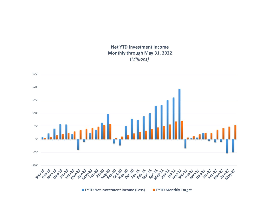### **Net YTD Investment Income** Monthly through May 31, 2022 (Millions)

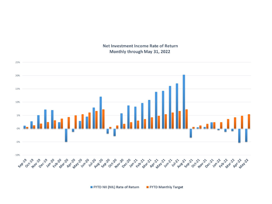



FYTD NII (NIL) Rate of Return FYTD Monthly Target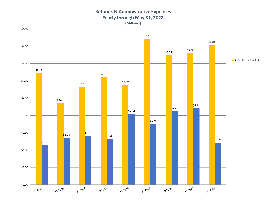## **Refunds & Administrative Expenses** Yearly through May 31, 2022

(Millions)